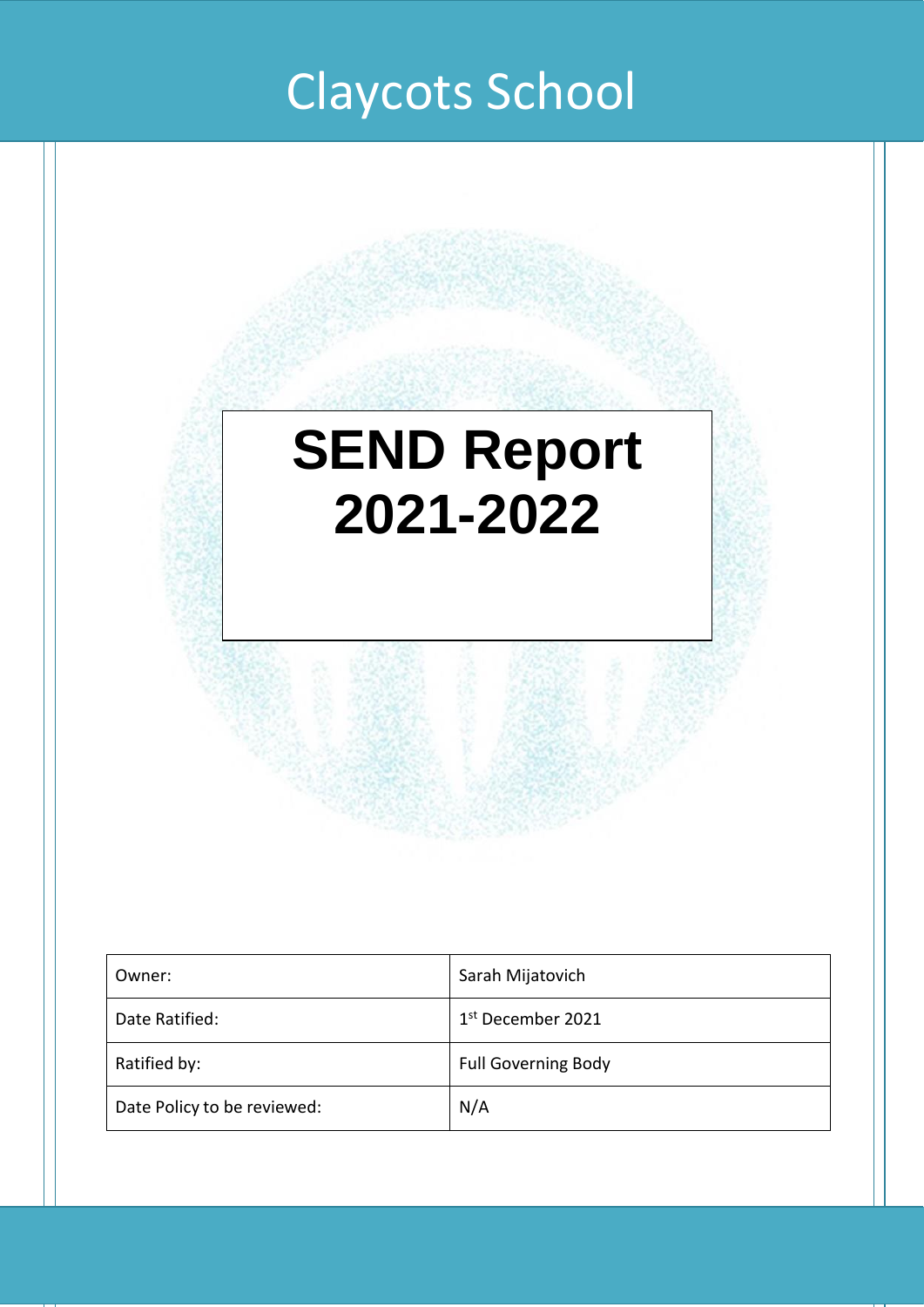# Claycots School

# **SEND Report 2021-2022**

| Owner:                      | Sarah Mijatovich           |
|-----------------------------|----------------------------|
| Date Ratified:              | 1st December 2021          |
| Ratified by:                | <b>Full Governing Body</b> |
| Date Policy to be reviewed: | N/A                        |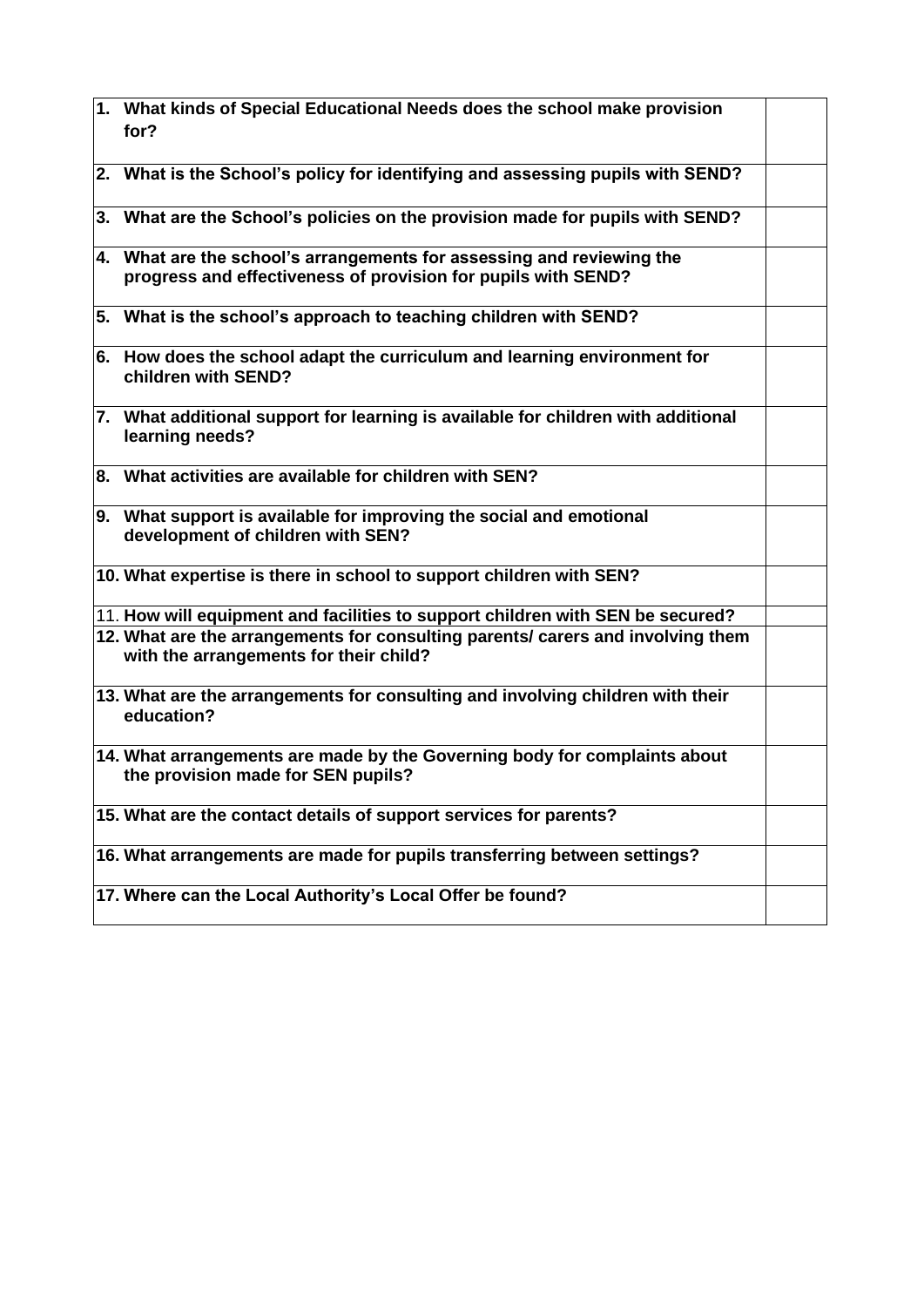| 1. What kinds of Special Educational Needs does the school make provision<br>for?                                                      |  |
|----------------------------------------------------------------------------------------------------------------------------------------|--|
| 2. What is the School's policy for identifying and assessing pupils with SEND?                                                         |  |
| 3. What are the School's policies on the provision made for pupils with SEND?                                                          |  |
| 4. What are the school's arrangements for assessing and reviewing the<br>progress and effectiveness of provision for pupils with SEND? |  |
| 5. What is the school's approach to teaching children with SEND?                                                                       |  |
| 6. How does the school adapt the curriculum and learning environment for<br>children with SEND?                                        |  |
| 7. What additional support for learning is available for children with additional<br>learning needs?                                   |  |
| 8. What activities are available for children with SEN?                                                                                |  |
| 9. What support is available for improving the social and emotional<br>development of children with SEN?                               |  |
| 10. What expertise is there in school to support children with SEN?                                                                    |  |
| 11. How will equipment and facilities to support children with SEN be secured?                                                         |  |
| 12. What are the arrangements for consulting parents/ carers and involving them<br>with the arrangements for their child?              |  |
| 13. What are the arrangements for consulting and involving children with their<br>education?                                           |  |
| 14. What arrangements are made by the Governing body for complaints about<br>the provision made for SEN pupils?                        |  |
| 15. What are the contact details of support services for parents?                                                                      |  |
| 16. What arrangements are made for pupils transferring between settings?                                                               |  |
| 17. Where can the Local Authority's Local Offer be found?                                                                              |  |
|                                                                                                                                        |  |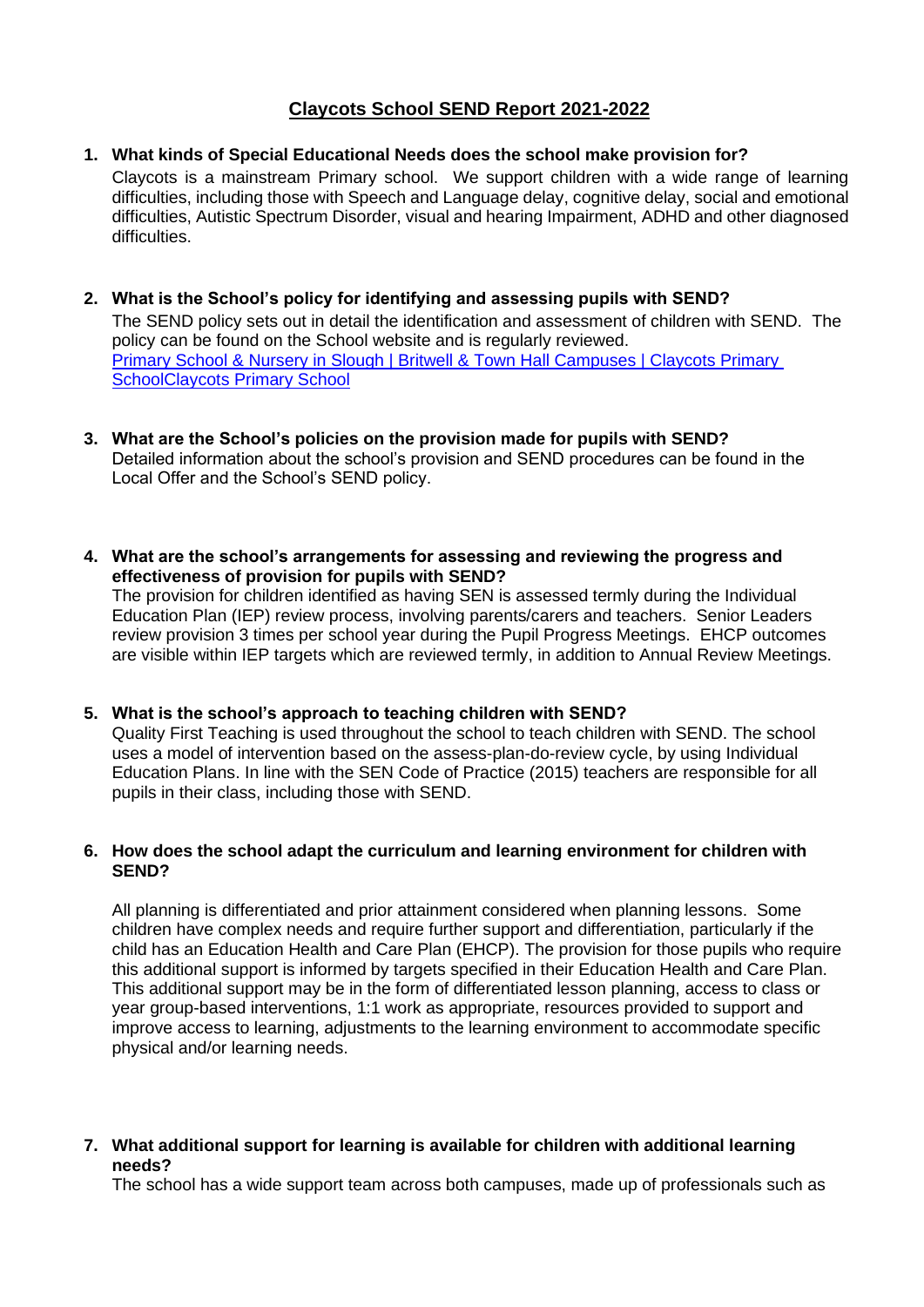# **Claycots School SEND Report 2021-2022**

#### **1. What kinds of Special Educational Needs does the school make provision for?**

Claycots is a mainstream Primary school. We support children with a wide range of learning difficulties, including those with Speech and Language delay, cognitive delay, social and emotional difficulties, Autistic Spectrum Disorder, visual and hearing Impairment, ADHD and other diagnosed difficulties.

- **2. What is the School's policy for identifying and assessing pupils with SEND?** The SEND policy sets out in detail the identification and assessment of children with SEND. The policy can be found on the School website and is regularly reviewed. [Primary School & Nursery in Slough | Britwell & Town Hall Campuses | Claycots Primary](http://www.claycots.co.uk/)  [SchoolClaycots Primary School](http://www.claycots.co.uk/)
- **3. What are the School's policies on the provision made for pupils with SEND?**  Detailed information about the school's provision and SEND procedures can be found in the Local Offer and the School's SEND policy.
- **4. What are the school's arrangements for assessing and reviewing the progress and effectiveness of provision for pupils with SEND?**

The provision for children identified as having SEN is assessed termly during the Individual Education Plan (IEP) review process, involving parents/carers and teachers. Senior Leaders review provision 3 times per school year during the Pupil Progress Meetings. EHCP outcomes are visible within IEP targets which are reviewed termly, in addition to Annual Review Meetings.

#### **5. What is the school's approach to teaching children with SEND?**

Quality First Teaching is used throughout the school to teach children with SEND. The school uses a model of intervention based on the assess-plan-do-review cycle, by using Individual Education Plans. In line with the SEN Code of Practice (2015) teachers are responsible for all pupils in their class, including those with SEND.

#### **6. How does the school adapt the curriculum and learning environment for children with SEND?**

All planning is differentiated and prior attainment considered when planning lessons. Some children have complex needs and require further support and differentiation, particularly if the child has an Education Health and Care Plan (EHCP). The provision for those pupils who require this additional support is informed by targets specified in their Education Health and Care Plan. This additional support may be in the form of differentiated lesson planning, access to class or year group-based interventions, 1:1 work as appropriate, resources provided to support and improve access to learning, adjustments to the learning environment to accommodate specific physical and/or learning needs.

**7. What additional support for learning is available for children with additional learning needs?** 

The school has a wide support team across both campuses, made up of professionals such as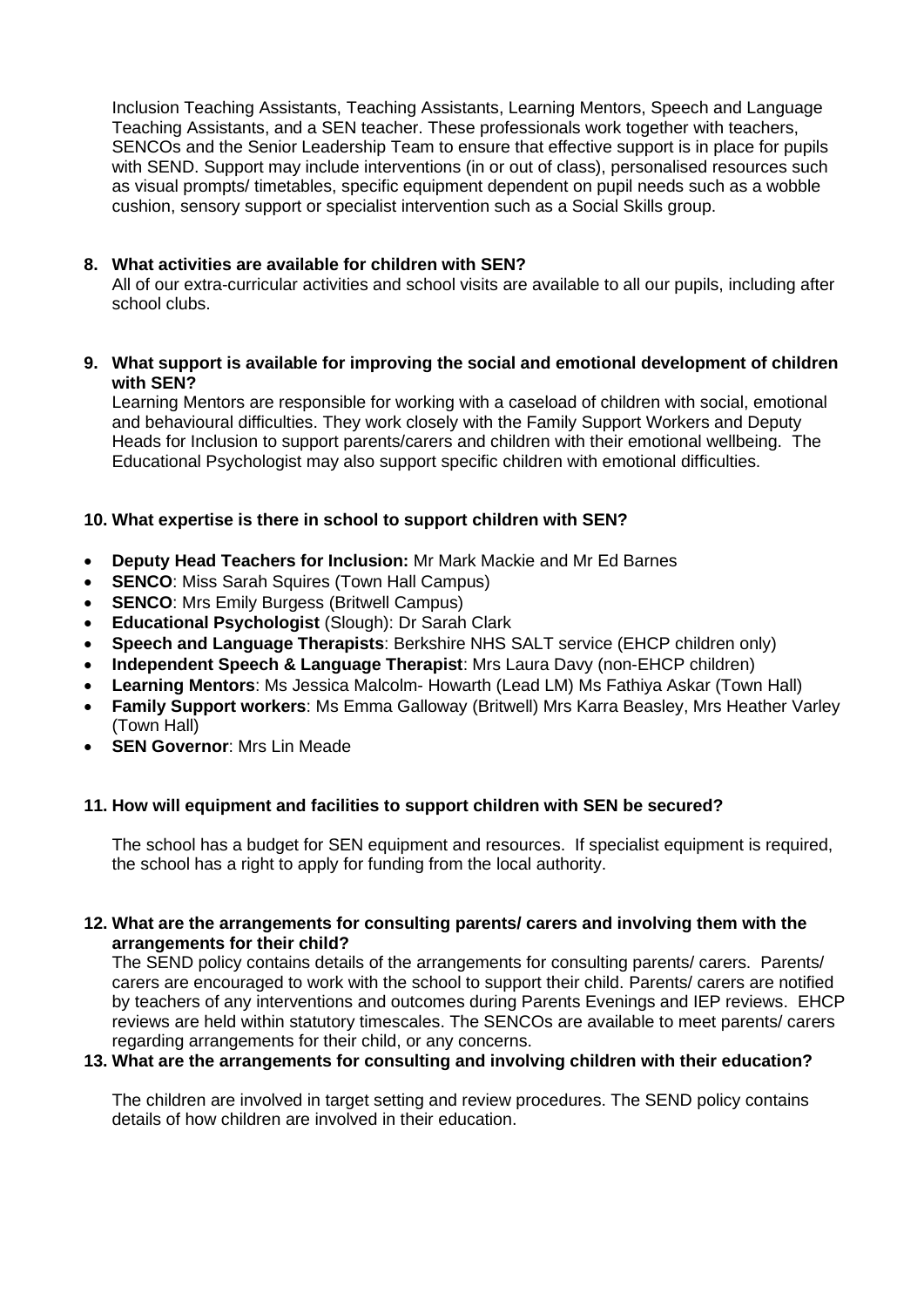Inclusion Teaching Assistants, Teaching Assistants, Learning Mentors, Speech and Language Teaching Assistants, and a SEN teacher. These professionals work together with teachers, SENCOs and the Senior Leadership Team to ensure that effective support is in place for pupils with SEND. Support may include interventions (in or out of class), personalised resources such as visual prompts/ timetables, specific equipment dependent on pupil needs such as a wobble cushion, sensory support or specialist intervention such as a Social Skills group.

# **8. What activities are available for children with SEN?**

All of our extra-curricular activities and school visits are available to all our pupils, including after school clubs.

## **9. What support is available for improving the social and emotional development of children with SEN?**

Learning Mentors are responsible for working with a caseload of children with social, emotional and behavioural difficulties. They work closely with the Family Support Workers and Deputy Heads for Inclusion to support parents/carers and children with their emotional wellbeing. The Educational Psychologist may also support specific children with emotional difficulties.

# **10. What expertise is there in school to support children with SEN?**

- **Deputy Head Teachers for Inclusion:** Mr Mark Mackie and Mr Ed Barnes
- **SENCO**: Miss Sarah Squires (Town Hall Campus)
- **SENCO**: Mrs Emily Burgess (Britwell Campus)
- **Educational Psychologist** (Slough): Dr Sarah Clark
- **Speech and Language Therapists**: Berkshire NHS SALT service (EHCP children only)
- **Independent Speech & Language Therapist**: Mrs Laura Davy (non-EHCP children)
- **Learning Mentors**: Ms Jessica Malcolm- Howarth (Lead LM) Ms Fathiya Askar (Town Hall)
- **Family Support workers**: Ms Emma Galloway (Britwell) Mrs Karra Beasley, Mrs Heather Varley (Town Hall)
- **SEN Governor**: Mrs Lin Meade

# **11. How will equipment and facilities to support children with SEN be secured?**

The school has a budget for SEN equipment and resources. If specialist equipment is required, the school has a right to apply for funding from the local authority.

## **12. What are the arrangements for consulting parents/ carers and involving them with the arrangements for their child?**

The SEND policy contains details of the arrangements for consulting parents/ carers. Parents/ carers are encouraged to work with the school to support their child. Parents/ carers are notified by teachers of any interventions and outcomes during Parents Evenings and IEP reviews. EHCP reviews are held within statutory timescales. The SENCOs are available to meet parents/ carers regarding arrangements for their child, or any concerns.

# **13. What are the arrangements for consulting and involving children with their education?**

The children are involved in target setting and review procedures. The SEND policy contains details of how children are involved in their education.